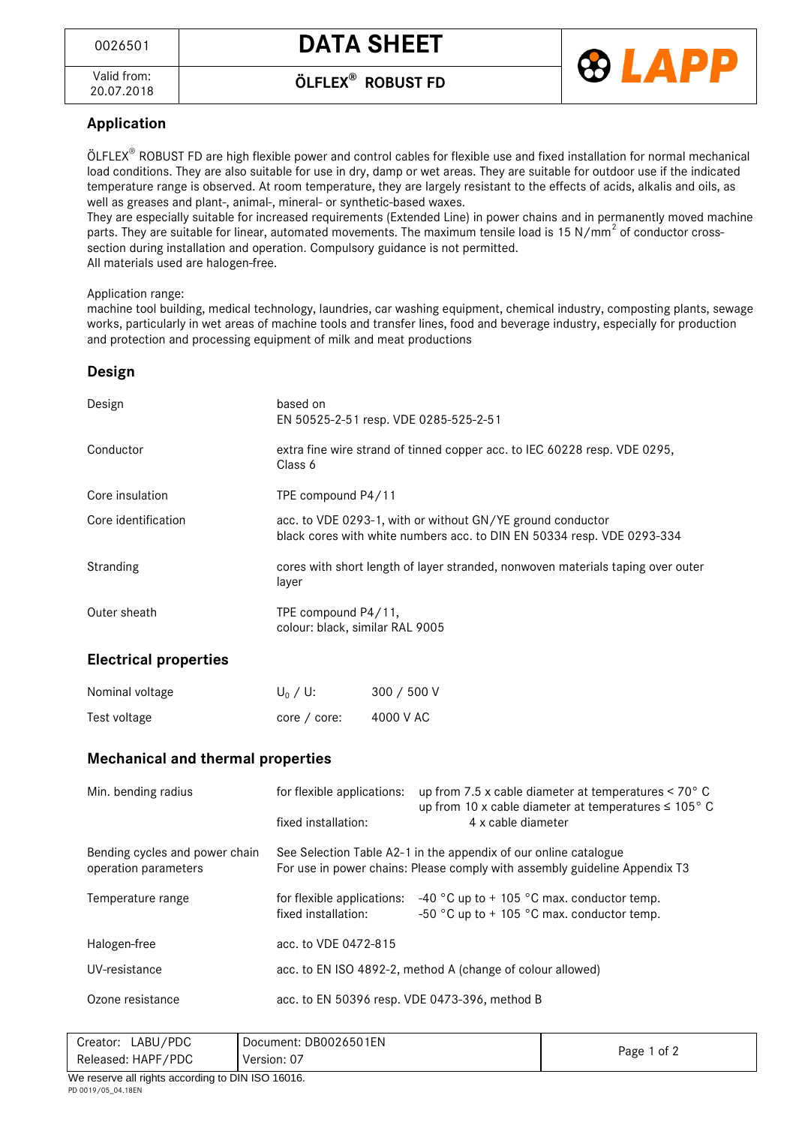<sup>0026501</sup> **DATA SHEET**



20.07.2018 **ÖLFLEX® ROBUST FD**



## **Application**

ÖLFLEX® ROBUST FD are high flexible power and control cables for flexible use and fixed installation for normal mechanical load conditions. They are also suitable for use in dry, damp or wet areas. They are suitable for outdoor use if the indicated temperature range is observed. At room temperature, they are largely resistant to the effects of acids, alkalis and oils, as well as greases and plant-, animal-, mineral- or synthetic-based waxes.

They are especially suitable for increased requirements (Extended Line) in power chains and in permanently moved machine parts. They are suitable for linear, automated movements. The maximum tensile load is 15 N/mm<sup>2</sup> of conductor crosssection during installation and operation. Compulsory guidance is not permitted. All materials used are halogen-free.

Application range:

machine tool building, medical technology, laundries, car washing equipment, chemical industry, composting plants, sewage works, particularly in wet areas of machine tools and transfer lines, food and beverage industry, especially for production and protection and processing equipment of milk and meat productions

## **Design**

| Design              | based on<br>EN 50525-2-51 resp. VDE 0285-525-2-51                                                                                    |
|---------------------|--------------------------------------------------------------------------------------------------------------------------------------|
| Conductor           | extra fine wire strand of tinned copper acc. to IEC 60228 resp. VDE 0295,<br>Class 6                                                 |
| Core insulation     | TPE compound P4/11                                                                                                                   |
| Core identification | acc. to VDE 0293-1, with or without GN/YE ground conductor<br>black cores with white numbers acc. to DIN EN 50334 resp. VDE 0293-334 |
| Stranding           | cores with short length of layer stranded, nonwoven materials taping over outer<br>layer                                             |
| Outer sheath        | TPE compound P4/11,<br>colour: black, similar RAL 9005                                                                               |

## **Electrical properties**

| Nominal voltage | $U_0 / U$ :  | 300 / 500 V |
|-----------------|--------------|-------------|
| Test voltage    | core / core: | 4000 V AC   |

## **Mechanical and thermal properties**

| Min. bending radius                                    | for flexible applications:<br>fixed installation:                                                                                              | up from 7.5 x cable diameter at temperatures $\leq 70^{\circ}$ C<br>up from 10 x cable diameter at temperatures $\leq 105^{\circ}$ C<br>4 x cable diameter |  |
|--------------------------------------------------------|------------------------------------------------------------------------------------------------------------------------------------------------|------------------------------------------------------------------------------------------------------------------------------------------------------------|--|
| Bending cycles and power chain<br>operation parameters | See Selection Table A2-1 in the appendix of our online catalogue<br>For use in power chains: Please comply with assembly guideline Appendix T3 |                                                                                                                                                            |  |
| Temperature range                                      | for flexible applications:<br>fixed installation:                                                                                              | $-40$ °C up to + 105 °C max. conductor temp.<br>-50 °C up to $+$ 105 °C max. conductor temp.                                                               |  |
| Halogen-free                                           | acc. to VDE 0472-815                                                                                                                           |                                                                                                                                                            |  |
| UV-resistance                                          | acc. to EN ISO 4892-2, method A (change of colour allowed)                                                                                     |                                                                                                                                                            |  |
| Ozone resistance                                       | acc. to EN 50396 resp. VDE 0473-396, method B                                                                                                  |                                                                                                                                                            |  |

| . .<br>$         -$  |                       |             |  |  |
|----------------------|-----------------------|-------------|--|--|
| Released: HAPF/PDC   | Version: 07           | Page 1 of 2 |  |  |
| LABU/PDC<br>Creator: | Document: DB0026501EN |             |  |  |